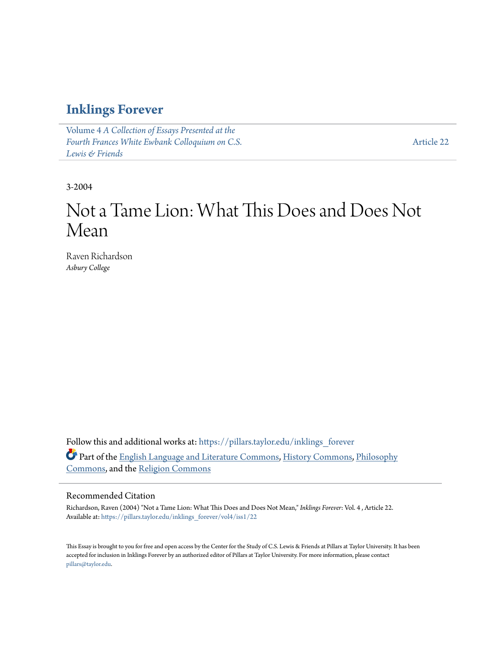### **[Inklings Forever](https://pillars.taylor.edu/inklings_forever?utm_source=pillars.taylor.edu%2Finklings_forever%2Fvol4%2Fiss1%2F22&utm_medium=PDF&utm_campaign=PDFCoverPages)**

Volume 4 *[A Collection of Essays Presented at the](https://pillars.taylor.edu/inklings_forever/vol4?utm_source=pillars.taylor.edu%2Finklings_forever%2Fvol4%2Fiss1%2F22&utm_medium=PDF&utm_campaign=PDFCoverPages) [Fourth Frances White Ewbank Colloquium on C.S.](https://pillars.taylor.edu/inklings_forever/vol4?utm_source=pillars.taylor.edu%2Finklings_forever%2Fvol4%2Fiss1%2F22&utm_medium=PDF&utm_campaign=PDFCoverPages) [Lewis & Friends](https://pillars.taylor.edu/inklings_forever/vol4?utm_source=pillars.taylor.edu%2Finklings_forever%2Fvol4%2Fiss1%2F22&utm_medium=PDF&utm_campaign=PDFCoverPages)*

[Article 22](https://pillars.taylor.edu/inklings_forever/vol4/iss1/22?utm_source=pillars.taylor.edu%2Finklings_forever%2Fvol4%2Fiss1%2F22&utm_medium=PDF&utm_campaign=PDFCoverPages)

3-2004

# Not a Tame Lion: What This Does and Does Not Mean

Raven Richardson *Asbury College*

Follow this and additional works at: [https://pillars.taylor.edu/inklings\\_forever](https://pillars.taylor.edu/inklings_forever?utm_source=pillars.taylor.edu%2Finklings_forever%2Fvol4%2Fiss1%2F22&utm_medium=PDF&utm_campaign=PDFCoverPages) Part of the [English Language and Literature Commons](http://network.bepress.com/hgg/discipline/455?utm_source=pillars.taylor.edu%2Finklings_forever%2Fvol4%2Fiss1%2F22&utm_medium=PDF&utm_campaign=PDFCoverPages), [History Commons,](http://network.bepress.com/hgg/discipline/489?utm_source=pillars.taylor.edu%2Finklings_forever%2Fvol4%2Fiss1%2F22&utm_medium=PDF&utm_campaign=PDFCoverPages) [Philosophy](http://network.bepress.com/hgg/discipline/525?utm_source=pillars.taylor.edu%2Finklings_forever%2Fvol4%2Fiss1%2F22&utm_medium=PDF&utm_campaign=PDFCoverPages) [Commons,](http://network.bepress.com/hgg/discipline/525?utm_source=pillars.taylor.edu%2Finklings_forever%2Fvol4%2Fiss1%2F22&utm_medium=PDF&utm_campaign=PDFCoverPages) and the [Religion Commons](http://network.bepress.com/hgg/discipline/538?utm_source=pillars.taylor.edu%2Finklings_forever%2Fvol4%2Fiss1%2F22&utm_medium=PDF&utm_campaign=PDFCoverPages)

### Recommended Citation

Richardson, Raven (2004) "Not a Tame Lion: What This Does and Does Not Mean," *Inklings Forever*: Vol. 4 , Article 22. Available at: [https://pillars.taylor.edu/inklings\\_forever/vol4/iss1/22](https://pillars.taylor.edu/inklings_forever/vol4/iss1/22?utm_source=pillars.taylor.edu%2Finklings_forever%2Fvol4%2Fiss1%2F22&utm_medium=PDF&utm_campaign=PDFCoverPages)

This Essay is brought to you for free and open access by the Center for the Study of C.S. Lewis & Friends at Pillars at Taylor University. It has been accepted for inclusion in Inklings Forever by an authorized editor of Pillars at Taylor University. For more information, please contact [pillars@taylor.edu.](mailto:pillars@taylor.edu)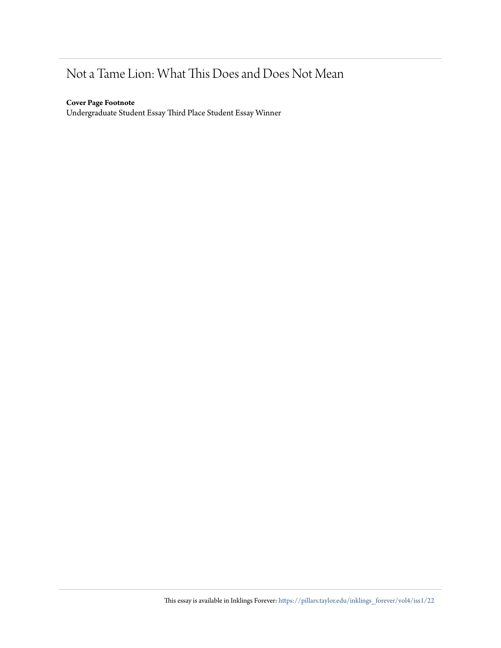## Not a Tame Lion: What This Does and Does Not Mean

### **Cover Page Footnote**

Undergraduate Student Essay Third Place Student Essay Winner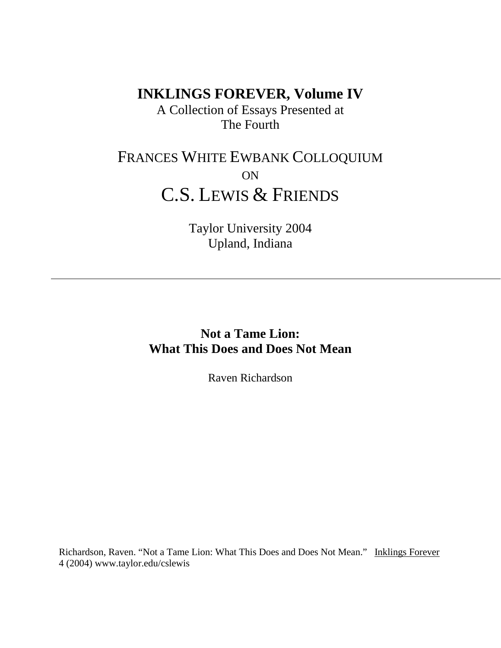**INKLINGS FOREVER, Volume IV**

A Collection of Essays Presented at The Fourth

## FRANCES WHITE EWBANK COLLOQUIUM ON C.S. LEWIS & FRIENDS

Taylor University 2004 Upland, Indiana

**Not a Tame Lion: What This Does and Does Not Mean**

Raven Richardson

Richardson, Raven. "Not a Tame Lion: What This Does and Does Not Mean." Inklings Forever 4 (2004) www.taylor.edu/cslewis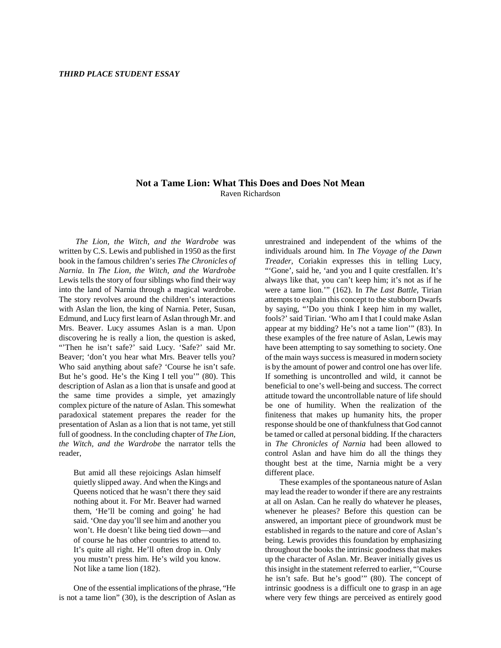#### **Not a Tame Lion: What This Does and Does Not Mean** Raven Richardson

*The Lion, the Witch, and the Wardrobe* was written by C.S. Lewis and published in 1950 as the first book in the famous children's series *The Chronicles of Narnia*. In *The Lion, the Witch, and the Wardrobe* Lewis tells the story of four siblings who find their way into the land of Narnia through a magical wardrobe. The story revolves around the children's interactions with Aslan the lion, the king of Narnia. Peter, Susan, Edmund, and Lucy first learn of Aslan through Mr. and Mrs. Beaver. Lucy assumes Aslan is a man. Upon discovering he is really a lion, the question is asked, "Then he isn't safe?' said Lucy. 'Safe?' said Mr. Beaver; 'don't you hear what Mrs. Beaver tells you? Who said anything about safe? 'Course he isn't safe. But he's good. He's the King I tell you'" (80). This description of Aslan as a lion that is unsafe and good at the same time provides a simple, yet amazingly complex picture of the nature of Aslan. This somewhat paradoxical statement prepares the reader for the presentation of Aslan as a lion that is not tame, yet still full of goodness. In the concluding chapter of *The Lion, the Witch, and the Wardrobe* the narrator tells the reader,

But amid all these rejoicings Aslan himself quietly slipped away. And when the Kings and Queens noticed that he wasn't there they said nothing about it. For Mr. Beaver had warned them, 'He'll be coming and going' he had said. 'One day you'll see him and another you won't. He doesn't like being tied down—and of course he has other countries to attend to. It's quite all right. He'll often drop in. Only you mustn't press him. He's wild you know. Not like a tame lion (182).

One of the essential implications of the phrase, "He is not a tame lion" (30), is the description of Aslan as

unrestrained and independent of the whims of the individuals around him. In *The Voyage of the Dawn Treader*, Coriakin expresses this in telling Lucy, "'Gone', said he, 'and you and I quite crestfallen. It's always like that, you can't keep him; it's not as if he were a tame lion.'" (162). In *The Last Battle*, Tirian attempts to explain this concept to the stubborn Dwarfs by saying, "'Do you think I keep him in my wallet, fools?' said Tirian. 'Who am I that I could make Aslan appear at my bidding? He's not a tame lion'" (83). In these examples of the free nature of Aslan, Lewis may have been attempting to say something to society. One of the main ways success is measured in modern society is by the amount of power and control one has over life. If something is uncontrolled and wild, it cannot be beneficial to one's well-being and success. The correct attitude toward the uncontrollable nature of life should be one of humility. When the realization of the finiteness that makes up humanity hits, the proper response should be one of thankfulness that God cannot be tamed or called at personal bidding. If the characters in *The Chronicles of Narnia* had been allowed to control Aslan and have him do all the things they thought best at the time, Narnia might be a very different place.

These examples of the spontaneous nature of Aslan may lead the reader to wonder if there are any restraints at all on Aslan. Can he really do whatever he pleases, whenever he pleases? Before this question can be answered, an important piece of groundwork must be established in regards to the nature and core of Aslan's being. Lewis provides this foundation by emphasizing throughout the books the intrinsic goodness that makes up the character of Aslan. Mr. Beaver initially gives us this insight in the statement referred to earlier, "'Course he isn't safe. But he's good'" (80). The concept of intrinsic goodness is a difficult one to grasp in an age where very few things are perceived as entirely good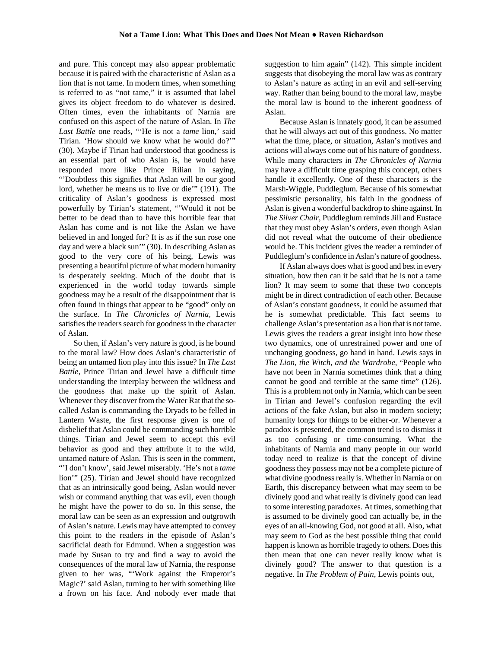and pure. This concept may also appear problematic because it is paired with the characteristic of Aslan as a lion that is not tame. In modern times, when something is referred to as "not tame," it is assumed that label gives its object freedom to do whatever is desired. Often times, even the inhabitants of Narnia are confused on this aspect of the nature of Aslan. In *The Last Battle* one reads, "'He is not a *tame* lion,' said Tirian. 'How should we know what he would do?'" (30). Maybe if Tirian had understood that goodness is an essential part of who Aslan is, he would have responded more like Prince Rilian in saying, "'Doubtless this signifies that Aslan will be our good lord, whether he means us to live or die'" (191). The criticality of Aslan's goodness is expressed most powerfully by Tirian's statement, "'Would it not be better to be dead than to have this horrible fear that Aslan has come and is not like the Aslan we have believed in and longed for? It is as if the sun rose one day and were a black sun" (30). In describing Aslan as good to the very core of his being, Lewis was presenting a beautiful picture of what modern humanity is desperately seeking. Much of the doubt that is experienced in the world today towards simple goodness may be a result of the disappointment that is often found in things that appear to be "good" only on the surface. In *The Chronicles of Narnia*, Lewis satisfies the readers search for goodness in the character of Aslan.

So then, if Aslan's very nature is good, is he bound to the moral law? How does Aslan's characteristic of being an untamed lion play into this issue? In *The Last Battle*, Prince Tirian and Jewel have a difficult time understanding the interplay between the wildness and the goodness that make up the spirit of Aslan. Whenever they discover from the Water Rat that the socalled Aslan is commanding the Dryads to be felled in Lantern Waste, the first response given is one of disbelief that Aslan could be commanding such horrible things. Tirian and Jewel seem to accept this evil behavior as good and they attribute it to the wild, untamed nature of Aslan. This is seen in the comment, "'I don't know', said Jewel miserably. 'He's not a *tame*  lion'" (25). Tirian and Jewel should have recognized that as an intrinsically good being, Aslan would never wish or command anything that was evil, even though he might have the power to do so. In this sense, the moral law can be seen as an expression and outgrowth of Aslan's nature. Lewis may have attempted to convey this point to the readers in the episode of Aslan's sacrificial death for Edmund. When a suggestion was made by Susan to try and find a way to avoid the consequences of the moral law of Narnia, the response given to her was, "'Work against the Emperor's Magic?' said Aslan, turning to her with something like a frown on his face. And nobody ever made that

suggestion to him again" (142). This simple incident suggests that disobeying the moral law was as contrary to Aslan's nature as acting in an evil and self-serving way. Rather than being bound to the moral law, maybe the moral law is bound to the inherent goodness of Aslan.

Because Aslan is innately good, it can be assumed that he will always act out of this goodness. No matter what the time, place, or situation, Aslan's motives and actions will always come out of his nature of goodness. While many characters in *The Chronicles of Narnia* may have a difficult time grasping this concept, others handle it excellently. One of these characters is the Marsh-Wiggle, Puddleglum. Because of his somewhat pessimistic personality, his faith in the goodness of Aslan is given a wonderful backdrop to shine against. In *The Silver Chair*, Puddleglum reminds Jill and Eustace that they must obey Aslan's orders, even though Aslan did not reveal what the outcome of their obedience would be. This incident gives the reader a reminder of Puddleglum's confidence in Aslan's nature of goodness.

If Aslan always does what is good and best in every situation, how then can it be said that he is not a tame lion? It may seem to some that these two concepts might be in direct contradiction of each other. Because of Aslan's constant goodness, it could be assumed that he is somewhat predictable. This fact seems to challenge Aslan's presentation as a lion that is not tame. Lewis gives the readers a great insight into how these two dynamics, one of unrestrained power and one of unchanging goodness, go hand in hand. Lewis says in *The Lion, the Witch, and the Wardrobe*, "People who have not been in Narnia sometimes think that a thing cannot be good and terrible at the same time" (126). This is a problem not only in Narnia, which can be seen in Tirian and Jewel's confusion regarding the evil actions of the fake Aslan, but also in modern society; humanity longs for things to be either-or. Whenever a paradox is presented, the common trend is to dismiss it as too confusing or time-consuming. What the inhabitants of Narnia and many people in our world today need to realize is that the concept of divine goodness they possess may not be a complete picture of what divine goodness really is. Whether in Narnia or on Earth, this discrepancy between what may seem to be divinely good and what really is divinely good can lead to some interesting paradoxes. At times, something that is assumed to be divinely good can actually be, in the eyes of an all-knowing God, not good at all. Also, what may seem to God as the best possible thing that could happen is known as horrible tragedy to others. Does this then mean that one can never really know what is divinely good? The answer to that question is a negative. In *The Problem of Pain*, Lewis points out,